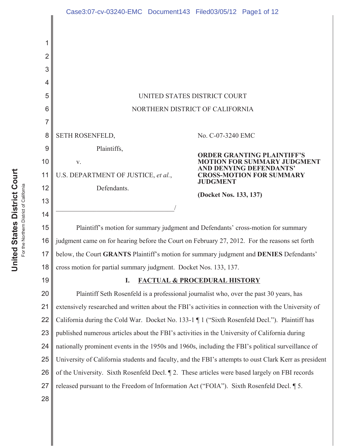| 2  |                                                                                                       |                                                                               |
|----|-------------------------------------------------------------------------------------------------------|-------------------------------------------------------------------------------|
| 3  |                                                                                                       |                                                                               |
| 4  |                                                                                                       |                                                                               |
| 5  | UNITED STATES DISTRICT COURT                                                                          |                                                                               |
| 6  | NORTHERN DISTRICT OF CALIFORNIA                                                                       |                                                                               |
| 7  |                                                                                                       |                                                                               |
| 8  | <b>SETH ROSENFELD,</b>                                                                                | No. C-07-3240 EMC                                                             |
| 9  | Plaintiffs,                                                                                           | <b>ORDER GRANTING PLAINTIFF'S</b>                                             |
| 10 | V.                                                                                                    | -FOR SUMMARY JUDGMENT                                                         |
| 11 | U.S. DEPARTMENT OF JUSTICE, et al.,                                                                   | AND DENYING DEFENDANTS'<br><b>CROSS-MOTION FOR SUMMARY</b><br><b>JUDGMENT</b> |
| 12 | Defendants.                                                                                           | (Docket Nos. 133, 137)                                                        |
| 13 |                                                                                                       |                                                                               |
| 14 |                                                                                                       |                                                                               |
| 15 | Plaintiff's motion for summary judgment and Defendants' cross-motion for summary                      |                                                                               |
| 16 | judgment came on for hearing before the Court on February 27, 2012. For the reasons set forth         |                                                                               |
| 17 | below, the Court GRANTS Plaintiff's motion for summary judgment and DENIES Defendants'                |                                                                               |
| 18 | cross motion for partial summary judgment. Docket Nos. 133, 137.                                      |                                                                               |
| 19 | <b>FACTUAL &amp; PROCEDURAL HISTORY</b><br>I.                                                         |                                                                               |
| 20 | Plaintiff Seth Rosenfeld is a professional journalist who, over the past 30 years, has                |                                                                               |
| 21 | extensively researched and written about the FBI's activities in connection with the University of    |                                                                               |
| 22 | California during the Cold War. Docket No. 133-1 ¶ 1 ("Sixth Rosenfeld Decl."). Plaintiff has         |                                                                               |
| 23 | published numerous articles about the FBI's activities in the University of California during         |                                                                               |
| 24 | nationally prominent events in the 1950s and 1960s, including the FBI's political surveillance of     |                                                                               |
| 25 | University of California students and faculty, and the FBI's attempts to oust Clark Kerr as president |                                                                               |
| 26 | of the University. Sixth Rosenfeld Decl. 12. These articles were based largely on FBI records         |                                                                               |
| 27 | released pursuant to the Freedom of Information Act ("FOIA"). Sixth Rosenfeld Decl. [5.               |                                                                               |
| 28 |                                                                                                       |                                                                               |
|    |                                                                                                       |                                                                               |

 $\mathsf I$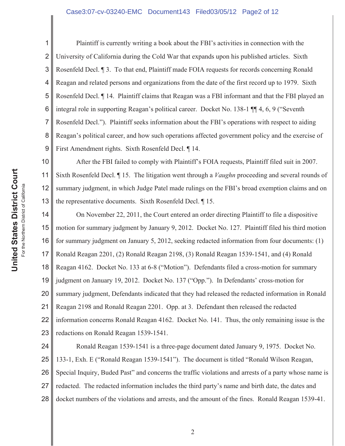#### Case3:07-cv-03240-EMC Document143 Filed03/05/12 Page2 of 12

2 3 4 5 6 8 9 Plaintiff is currently writing a book about the FBI's activities in connection with the University of California during the Cold War that expands upon his published articles. Sixth Rosenfeld Decl. ¶ 3. To that end, Plaintiff made FOIA requests for records concerning Ronald Reagan and related persons and organizations from the date of the first record up to 1979. Sixth Rosenfeld Decl. ¶ 14. Plaintiff claims that Reagan was a FBI informant and that the FBI played an integral role in supporting Reagan's political career. Docket No. 138-1 ¶¶ 4, 6, 9 ("Seventh Rosenfeld Decl."). Plaintiff seeks information about the FBI's operations with respect to aiding Reagan's political career, and how such operations affected government policy and the exercise of First Amendment rights. Sixth Rosenfeld Decl. ¶ 14.

10 11 12 13 After the FBI failed to comply with Plaintiff's FOIA requests, Plaintiff filed suit in 2007. Sixth Rosenfeld Decl. ¶ 15. The litigation went through a *Vaughn* proceeding and several rounds of summary judgment, in which Judge Patel made rulings on the FBI's broad exemption claims and on the representative documents. Sixth Rosenfeld Decl. ¶ 15.

14 15 16 17 18 19 20 21 22 23 On November 22, 2011, the Court entered an order directing Plaintiff to file a dispositive motion for summary judgment by January 9, 2012. Docket No. 127. Plaintiff filed his third motion for summary judgment on January 5, 2012, seeking redacted information from four documents: (1) Ronald Reagan 2201, (2) Ronald Reagan 2198, (3) Ronald Reagan 1539-1541, and (4) Ronald Reagan 4162. Docket No. 133 at 6-8 ("Motion"). Defendants filed a cross-motion for summary judgment on January 19, 2012. Docket No. 137 ("Opp."). In Defendants' cross-motion for summary judgment, Defendants indicated that they had released the redacted information in Ronald Reagan 2198 and Ronald Reagan 2201. Opp. at 3. Defendant then released the redacted information concerns Ronald Reagan 4162. Docket No. 141. Thus, the only remaining issue is the redactions on Ronald Reagan 1539-1541.

24 25 26 27 28 Ronald Reagan 1539-1541 is a three-page document dated January 9, 1975. Docket No. 133-1, Exh. E ("Ronald Reagan 1539-1541"). The document is titled "Ronald Wilson Reagan, Special Inquiry, Buded Past" and concerns the traffic violations and arrests of a party whose name is redacted. The redacted information includes the third party's name and birth date, the dates and docket numbers of the violations and arrests, and the amount of the fines. Ronald Reagan 1539-41.

1

7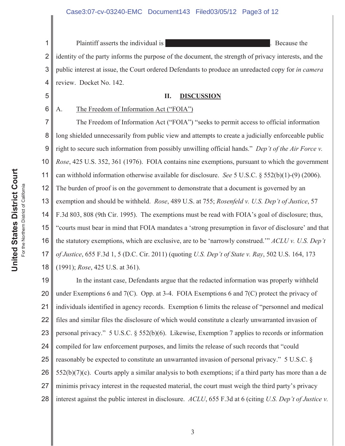1 2 3 4 Plaintiff asserts the individual is **Example 2018** 2 and 2 and 2 and 2 and 2 and 2 and 2 and 2 and 2 and 2 and 2 and 2 and 2 and 2 and 2 and 2 and 2 and 2 and 2 and 2 and 2 and 2 and 2 and 2 and 2 and 2 and 2 and 2 and 2 a identity of the party informs the purpose of the document, the strength of privacy interests, and the public interest at issue, the Court ordered Defendants to produce an unredacted copy for *in camera* review. Docket No. 142.

#### **II. DISCUSSION**

6

5

# A. The Freedom of Information Act ("FOIA")

7 8 9 10 11 12 13 14 15 16 17 18 The Freedom of Information Act ("FOIA") "seeks to permit access to official information long shielded unnecessarily from public view and attempts to create a judicially enforceable public right to secure such information from possibly unwilling official hands." *Dep't of the Air Force v. Rose*, 425 U.S. 352, 361 (1976). FOIA contains nine exemptions, pursuant to which the government can withhold information otherwise available for disclosure. *See* 5 U.S.C. § 552(b)(1)-(9) (2006). The burden of proof is on the government to demonstrate that a document is governed by an exemption and should be withheld. *Rose*, 489 U.S. at 755; *Rosenfeld v. U.S. Dep't of Justice*, 57 F.3d 803, 808 (9th Cir. 1995). The exemptions must be read with FOIA's goal of disclosure; thus, "courts must bear in mind that FOIA mandates a 'strong presumption in favor of disclosure' and that the statutory exemptions, which are exclusive, are to be 'narrowly construed.'" *ACLU v. U.S. Dep't of Justice*, 655 F.3d 1, 5 (D.C. Cir. 2011) (quoting *U.S. Dep't of State v. Ray*, 502 U.S. 164, 173 (1991); *Rose*, 425 U.S. at 361).

19 20 21 22 23 24 25 26 27 28 In the instant case, Defendants argue that the redacted information was properly withheld under Exemptions 6 and 7(C). Opp. at 3-4. FOIA Exemptions 6 and 7(C) protect the privacy of individuals identified in agency records. Exemption 6 limits the release of "personnel and medical files and similar files the disclosure of which would constitute a clearly unwarranted invasion of personal privacy." 5 U.S.C. § 552(b)(6). Likewise, Exemption 7 applies to records or information compiled for law enforcement purposes, and limits the release of such records that "could reasonably be expected to constitute an unwarranted invasion of personal privacy." 5 U.S.C. §  $552(b)(7)(c)$ . Courts apply a similar analysis to both exemptions; if a third party has more than a de minimis privacy interest in the requested material, the court must weigh the third party's privacy interest against the public interest in disclosure. *ACLU*, 655 F.3d at 6 (citing *U.S. Dep't of Justice v.*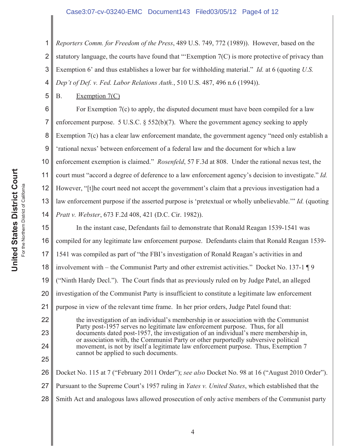## Case3:07-cv-03240-EMC Document143 Filed03/05/12 Page4 of 12

1 2 3 4 *Reporters Comm. for Freedom of the Press*, 489 U.S. 749, 772 (1989)). However, based on the statutory language, the courts have found that "Exemption  $7(C)$  is more protective of privacy than Exemption 6' and thus establishes a lower bar for withholding material." *Id.* at 6 (quoting *U.S. Dep't of Def. v. Fed. Labor Relations Auth.*, 510 U.S. 487, 496 n.6 (1994)).

B. Exemption 7(C)

5

6 7 8 9 10 11 12 13 14 For Exemption 7(c) to apply, the disputed document must have been compiled for a law enforcement purpose. 5 U.S.C. § 552(b)(7). Where the government agency seeking to apply Exemption 7(c) has a clear law enforcement mandate, the government agency "need only establish a 'rational nexus' between enforcement of a federal law and the document for which a law enforcement exemption is claimed." *Rosenfeld*, 57 F.3d at 808. Under the rational nexus test, the court must "accord a degree of deference to a law enforcement agency's decision to investigate." *Id.* However, "[t]he court need not accept the government's claim that a previous investigation had a law enforcement purpose if the asserted purpose is 'pretextual or wholly unbelievable.'" *Id.* (quoting *Pratt v. Webster*, 673 F.2d 408, 421 (D.C. Cir. 1982)).

15 16 17 18 19 20 21 22 23 24 25 26 In the instant case, Defendants fail to demonstrate that Ronald Reagan 1539-1541 was compiled for any legitimate law enforcement purpose. Defendants claim that Ronald Reagan 1539- 1541 was compiled as part of "the FBI's investigation of Ronald Reagan's activities in and involvement with – the Communist Party and other extremist activities." Docket No. 137-1 ¶ 9 ("Ninth Hardy Decl."). The Court finds that as previously ruled on by Judge Patel, an alleged investigation of the Communist Party is insufficient to constitute a legitimate law enforcement purpose in view of the relevant time frame. In her prior orders, Judge Patel found that: the investigation of an individual's membership in or association with the Communist Party post-1957 serves no legitimate law enforcement purpose. Thus, for all documents dated post-1957, the investigation of an individual's mere membership in, or association with, the Communist Party or other purportedly subversive political movement, is not by itself a legitimate law enforcement purpose. Thus, Exemption 7 cannot be applied to such documents. Docket No. 115 at 7 ("February 2011 Order"); *see also* Docket No. 98 at 16 ("August 2010 Order").

27 Pursuant to the Supreme Court's 1957 ruling in *Yates v. United States*, which established that the

28 Smith Act and analogous laws allowed prosecution of only active members of the Communist party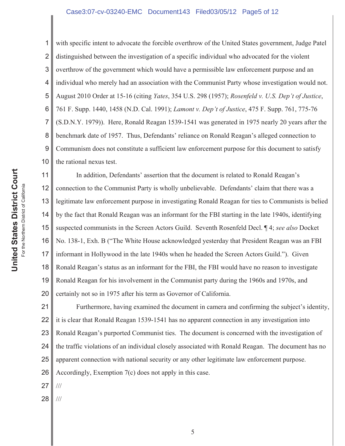#### Case3:07-cv-03240-EMC Document143 Filed03/05/12 Page5 of 12

1 2 3 4 5 6 7 8 9 10 with specific intent to advocate the forcible overthrow of the United States government, Judge Patel distinguished between the investigation of a specific individual who advocated for the violent overthrow of the government which would have a permissible law enforcement purpose and an individual who merely had an association with the Communist Party whose investigation would not. August 2010 Order at 15-16 (citing *Yates*, 354 U.S. 298 (1957); *Rosenfeld v. U.S. Dep't of Justice*, 761 F. Supp. 1440, 1458 (N.D. Cal. 1991); *Lamont v. Dep't of Justice*, 475 F. Supp. 761, 775-76 (S.D.N.Y. 1979)). Here, Ronald Reagan 1539-1541 was generated in 1975 nearly 20 years after the benchmark date of 1957. Thus, Defendants' reliance on Ronald Reagan's alleged connection to Communism does not constitute a sufficient law enforcement purpose for this document to satisfy the rational nexus test.

11 12 13 14 15 16 17 18 19 20 In addition, Defendants' assertion that the document is related to Ronald Reagan's connection to the Communist Party is wholly unbelievable. Defendants' claim that there was a legitimate law enforcement purpose in investigating Ronald Reagan for ties to Communists is belied by the fact that Ronald Reagan was an informant for the FBI starting in the late 1940s, identifying suspected communists in the Screen Actors Guild. Seventh Rosenfeld Decl. ¶ 4; *see also* Docket No. 138-1, Exh. B ("The White House acknowledged yesterday that President Reagan was an FBI informant in Hollywood in the late 1940s when he headed the Screen Actors Guild."). Given Ronald Reagan's status as an informant for the FBI, the FBI would have no reason to investigate Ronald Reagan for his involvement in the Communist party during the 1960s and 1970s, and certainly not so in 1975 after his term as Governor of California.

21 22 23 24 25 26 Furthermore, having examined the document in camera and confirming the subject's identity, it is clear that Ronald Reagan 1539-1541 has no apparent connection in any investigation into Ronald Reagan's purported Communist ties. The document is concerned with the investigation of the traffic violations of an individual closely associated with Ronald Reagan. The document has no apparent connection with national security or any other legitimate law enforcement purpose. Accordingly, Exemption 7(c) does not apply in this case.

27 ///

28 ///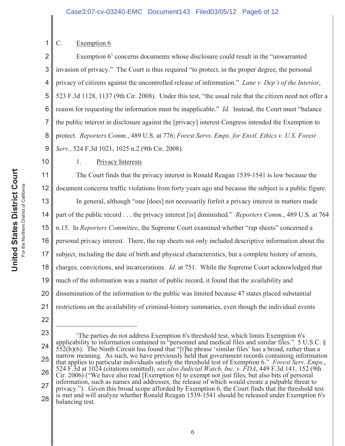## C. Exemption 6

2 3 4 5 6 7 8 9 Exemption  $6<sup>1</sup>$  concerns documents whose disclosure could result in the "unwarranted" invasion of privacy." The Court is thus required "to protect, in the proper degree, the personal privacy of citizens against the uncontrolled release of information." *Lane v. Dep't of the Interior*, 523 F.3d 1128, 1137 (9th Cir. 2008). Under this test, "the usual rule that the citizen need not offer a reason for requesting the information must be inapplicable." *Id.* Instead, the Court must "balance the public interest in disclosure against the [privacy] interest Congress intended the Exemption to protect. *Reporters Comm.*, 489 U.S. at 776; *Forest Servs. Emps. for Envtl. Ethics v. U.S. Forest Serv.*, 524 F.3d 1021, 1025 n.2 (9th Cir. 2008).

## 10

1

## 1. Privacy Interests

11 12 The Court finds that the privacy interest in Ronald Reagan 1539-1541 is low because the document concerns traffic violations from forty years ago and because the subject is a public figure.

13 14 15 16 17 18 19 20 21 In general, although "one [does] not necessarily forfeit a privacy interest in matters made part of the public record . . . the privacy interest [is] diminished." *Reporters Comm.*, 489 U.S. at 764 n.15. In *Reporters Committee*, the Supreme Court examined whether "rap sheets" concerned a personal privacy interest. There, the rap sheets not only included descriptive information about the subject, including the date of birth and physical characteristics, but a complete history of arrests, charges, convictions, and incarcerations. *Id.* at 751. While the Supreme Court acknowledged that much of the information was a matter of public record, it found that the availability and dissemination of the information to the public was limited because 47 states placed substantial restrictions on the availability of criminal-history summaries, even though the individual events

<sup>23</sup> 24 25 26 27 28 <sup>1</sup>The parties do not address Exemption 6's threshold test, which limits Exemption 6's applicability to information contained in "personnel and medical files and similar files." 5 U.S.C. §  $552(b)(6)$ . The Ninth Circuit has found that "[t]he phrase 'similar files' has a broad, rather than a narrow meaning. As such, we have previously held that government records containing information that applies to particular individuals satisfy the threshold test of Exemption 6." *Forest Serv. Emps.*, 524 F.3d at 1024 (citations omitted); *see also Judicial Watch, Inc. v. FDA*, 449 F.3d 141, 152 (9th Cir. 2006) ("We have also read [Exemption 6] to exempt not just files, but also bits of personal information, such as names and addresses, the release of which would create a palpable threat to privacy."). Given this broad scope afforded by Exemption 6, the Court finds that the threshold test is met and will analyze whether Ronald Reagan 1539-1541 should be released under Exemption 6's balancing test.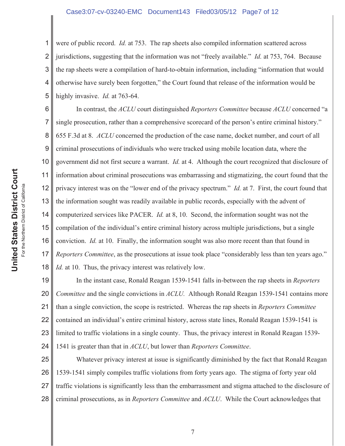2 3 4 5 were of public record. *Id.* at 753. The rap sheets also compiled information scattered across jurisdictions, suggesting that the information was not "freely available." *Id.* at 753, 764. Because the rap sheets were a compilation of hard-to-obtain information, including "information that would otherwise have surely been forgotten," the Court found that release of the information would be highly invasive. *Id.* at 763-64.

6 7 8 9 10 11 12 13 14 15 16 17 18 In contrast, the *ACLU* court distinguished *Reporters Committee* because *ACLU* concerned "a single prosecution, rather than a comprehensive scorecard of the person's entire criminal history." 655 F.3d at 8. *ACLU* concerned the production of the case name, docket number, and court of all criminal prosecutions of individuals who were tracked using mobile location data, where the government did not first secure a warrant. *Id.* at 4. Although the court recognized that disclosure of information about criminal prosecutions was embarrassing and stigmatizing, the court found that the privacy interest was on the "lower end of the privacy spectrum." *Id.* at 7. First, the court found that the information sought was readily available in public records, especially with the advent of computerized services like PACER. *Id.* at 8, 10. Second, the information sought was not the compilation of the individual's entire criminal history across multiple jurisdictions, but a single conviction. *Id.* at 10. Finally, the information sought was also more recent than that found in *Reporters Committee*, as the prosecutions at issue took place "considerably less than ten years ago." *Id.* at 10. Thus, the privacy interest was relatively low.

19 20 21 22 23 24 In the instant case, Ronald Reagan 1539-1541 falls in-between the rap sheets in *Reporters Committee* and the single convictions in *ACLU.* Although Ronald Reagan 1539-1541 contains more than a single conviction, the scope is restricted. Whereas the rap sheets in *Reporters Committee* contained an individual's entire criminal history, across state lines, Ronald Reagan 1539-1541 is limited to traffic violations in a single county. Thus, the privacy interest in Ronald Reagan 1539- 1541 is greater than that in *ACLU*, but lower than *Reporters Committee*.

25 26 27 28 Whatever privacy interest at issue is significantly diminished by the fact that Ronald Reagan 1539-1541 simply compiles traffic violations from forty years ago. The stigma of forty year old traffic violations is significantly less than the embarrassment and stigma attached to the disclosure of criminal prosecutions, as in *Reporters Committee* and *ACLU*. While the Court acknowledges that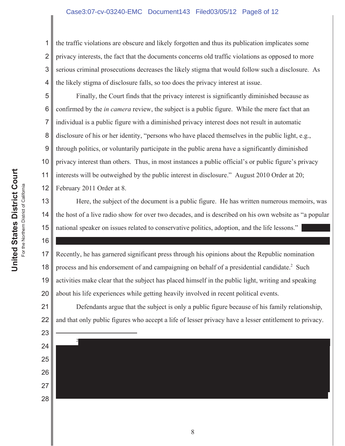### Case3:07-cv-03240-EMC Document143 Filed03/05/12 Page8 of 12

2 3 4 the traffic violations are obscure and likely forgotten and thus its publication implicates some privacy interests, the fact that the documents concerns old traffic violations as opposed to more serious criminal prosecutions decreases the likely stigma that would follow such a disclosure. As the likely stigma of disclosure falls, so too does the privacy interest at issue.

5 6 7 8 9 10 11 12 Finally, the Court finds that the privacy interest is significantly diminished because as confirmed by the *in camera* review, the subject is a public figure. While the mere fact that an individual is a public figure with a diminished privacy interest does not result in automatic disclosure of his or her identity, "persons who have placed themselves in the public light, e.g., through politics, or voluntarily participate in the public arena have a significantly diminished privacy interest than others. Thus, in most instances a public official's or public figure's privacy interests will be outweighed by the public interest in disclosure." August 2010 Order at 20; February 2011 Order at 8.

13 Here, the subject of the document is a public figure. He has written numerous memoirs, was the host of a live radio show for over two decades, and is described on his own website as "a popular national speaker on issues related to conservative politics, adoption, and the life lessons."

17 18 19 20 Recently, he has garnered significant press through his opinions about the Republic nomination process and his endorsement of and campaigning on behalf of a presidential candidate.<sup>2</sup> Such activities make clear that the subject has placed himself in the public light, writing and speaking about his life experiences while getting heavily involved in recent political events.

21 22 Defendants argue that the subject is only a public figure because of his family relationship, and that only public figures who accept a life of lesser privacy have a lesser entitlement to privacy.



14

15

16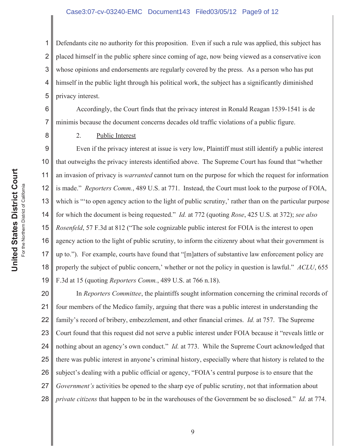#### Case3:07-cv-03240-EMC Document143 Filed03/05/12 Page9 of 12

1 2 3 4 5 Defendants cite no authority for this proposition. Even if such a rule was applied, this subject has placed himself in the public sphere since coming of age, now being viewed as a conservative icon whose opinions and endorsements are regularly covered by the press. As a person who has put himself in the public light through his political work, the subject has a significantly diminished privacy interest.

6 7 Accordingly, the Court finds that the privacy interest in Ronald Reagan 1539-1541 is de minimis because the document concerns decades old traffic violations of a public figure.

2. Public Interest

9 10 11 12 13 14 15 16 17 18 19 Even if the privacy interest at issue is very low, Plaintiff must still identify a public interest that outweighs the privacy interests identified above. The Supreme Court has found that "whether an invasion of privacy is *warranted* cannot turn on the purpose for which the request for information is made." *Reporters Comm.*, 489 U.S. at 771. Instead, the Court must look to the purpose of FOIA, which is "to open agency action to the light of public scrutiny,' rather than on the particular purpose for which the document is being requested." *Id.* at 772 (quoting *Rose*, 425 U.S. at 372); *see also Rosenfeld*, 57 F.3d at 812 ("The sole cognizable public interest for FOIA is the interest to open agency action to the light of public scrutiny, to inform the citizenry about what their government is up to."). For example, courts have found that "[m]atters of substantive law enforcement policy are properly the subject of public concern,' whether or not the policy in question is lawful." *ACLU*, 655 F.3d at 15 (quoting *Reporters Comm.*, 489 U.S. at 766 n.18).

20 21 22 23 24 25 26 27 28 In *Reporters Committee*, the plaintiffs sought information concerning the criminal records of four members of the Medico family, arguing that there was a public interest in understanding the family's record of bribery, embezzlement, and other financial crimes. *Id.* at 757. The Supreme Court found that this request did not serve a public interest under FOIA because it "reveals little or nothing about an agency's own conduct." *Id.* at 773. While the Supreme Court acknowledged that there was public interest in anyone's criminal history, especially where that history is related to the subject's dealing with a public official or agency, "FOIA's central purpose is to ensure that the *Government's* activities be opened to the sharp eye of public scrutiny, not that information about *private citizens* that happen to be in the warehouses of the Government be so disclosed." *Id.* at 774.

8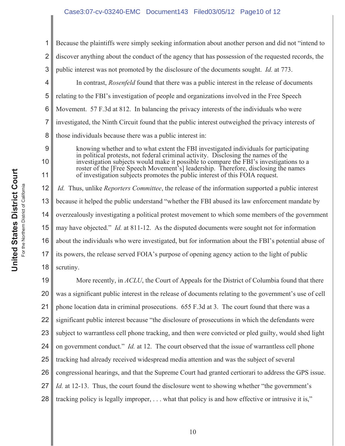### Case3:07-cv-03240-EMC Document143 Filed03/05/12 Page10 of 12

1 2 3 4 5 6 7 8 9 10 11 Because the plaintiffs were simply seeking information about another person and did not "intend to discover anything about the conduct of the agency that has possession of the requested records, the public interest was not promoted by the disclosure of the documents sought. *Id.* at 773. In contrast, *Rosenfeld* found that there was a public interest in the release of documents relating to the FBI's investigation of people and organizations involved in the Free Speech Movement. 57 F.3d at 812. In balancing the privacy interests of the individuals who were investigated, the Ninth Circuit found that the public interest outweighed the privacy interests of those individuals because there was a public interest in: knowing whether and to what extent the FBI investigated individuals for participating in political protests, not federal criminal activity. Disclosing the names of the investigation subjects would make it possible to compare the FBI's investigations to a roster of the [Free Speech Movement's] leadership. Therefore, disclosing the names of investigation subjects promotes the public interest of this FOIA request.

12 13 14 15 16 17 18 *Id.* Thus, unlike *Reporters Committee*, the release of the information supported a public interest because it helped the public understand "whether the FBI abused its law enforcement mandate by overzealously investigating a political protest movement to which some members of the government may have objected." *Id.* at 811-12. As the disputed documents were sought not for information about the individuals who were investigated, but for information about the FBI's potential abuse of its powers, the release served FOIA's purpose of opening agency action to the light of public scrutiny.

19 20 21 22 23 24 25 26 27 28 More recently, in *ACLU*, the Court of Appeals for the District of Columbia found that there was a significant public interest in the release of documents relating to the government's use of cell phone location data in criminal prosecutions. 655 F.3d at 3. The court found that there was a significant public interest because "the disclosure of prosecutions in which the defendants were subject to warrantless cell phone tracking, and then were convicted or pled guilty, would shed light on government conduct." *Id.* at 12. The court observed that the issue of warrantless cell phone tracking had already received widespread media attention and was the subject of several congressional hearings, and that the Supreme Court had granted certiorari to address the GPS issue. *Id.* at 12-13. Thus, the court found the disclosure went to showing whether "the government's tracking policy is legally improper, . . . what that policy is and how effective or intrusive it is,"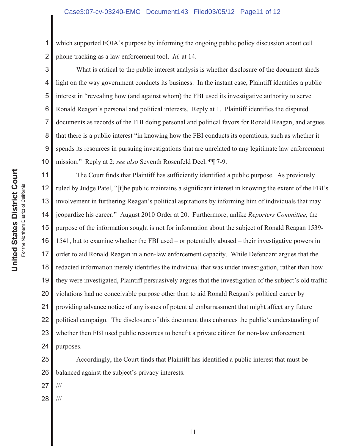1 2 which supported FOIA's purpose by informing the ongoing public policy discussion about cell phone tracking as a law enforcement tool. *Id.* at 14.

3 4 5 6 7 8 9 10 What is critical to the public interest analysis is whether disclosure of the document sheds light on the way government conducts its business. In the instant case, Plaintiff identifies a public interest in "revealing how (and against whom) the FBI used its investigative authority to serve Ronald Reagan's personal and political interests. Reply at 1. Plaintiff identifies the disputed documents as records of the FBI doing personal and political favors for Ronald Reagan, and argues that there is a public interest "in knowing how the FBI conducts its operations, such as whether it spends its resources in pursuing investigations that are unrelated to any legitimate law enforcement mission." Reply at 2; *see also* Seventh Rosenfeld Decl. ¶¶ 7-9.

11 12 13 14 15 16 17 18 19 20 21 22 23 24 The Court finds that Plaintiff has sufficiently identified a public purpose. As previously ruled by Judge Patel, "[t]he public maintains a significant interest in knowing the extent of the FBI's involvement in furthering Reagan's political aspirations by informing him of individuals that may jeopardize his career." August 2010 Order at 20. Furthermore, unlike *Reporters Committee*, the purpose of the information sought is not for information about the subject of Ronald Reagan 1539- 1541, but to examine whether the FBI used – or potentially abused – their investigative powers in order to aid Ronald Reagan in a non-law enforcement capacity. While Defendant argues that the redacted information merely identifies the individual that was under investigation, rather than how they were investigated, Plaintiff persuasively argues that the investigation of the subject's old traffic violations had no conceivable purpose other than to aid Ronald Reagan's political career by providing advance notice of any issues of potential embarrassment that might affect any future political campaign. The disclosure of this document thus enhances the public's understanding of whether then FBI used public resources to benefit a private citizen for non-law enforcement purposes.

25 26 Accordingly, the Court finds that Plaintiff has identified a public interest that must be balanced against the subject's privacy interests.

27 ///

28 ///